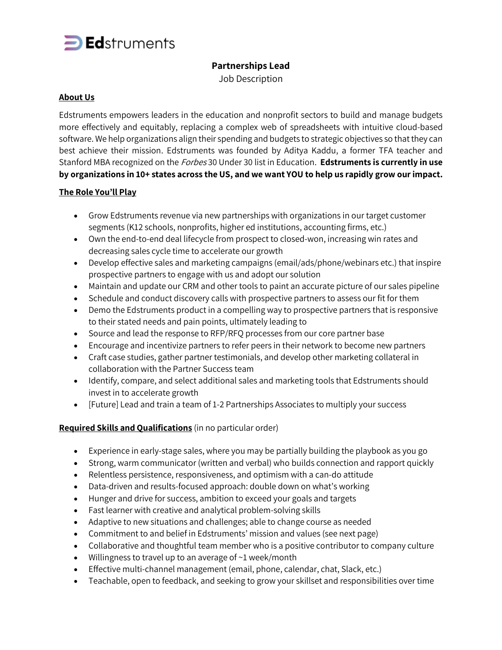

# **Partnerships Lead** Job Description

#### **About Us**

Edstruments empowers leaders in the education and nonprofit sectors to build and manage budgets more effectively and equitably, replacing a complex web of spreadsheets with intuitive cloud-based software. We help organizations align their spending and budgets to strategic objectives so that they can best achieve their mission. Edstruments was founded by Aditya Kaddu, a former TFA teacher and Stanford MBA recognized on the Forbes 30 Under 30 list in Education. **Edstruments is currently in use by organizations in 10+ states across the US, and we want YOU to help us rapidly grow our impact.**

#### **The Role You'll Play**

- Grow Edstruments revenue via new partnerships with organizations in our target customer segments (K12 schools, nonprofits, higher ed institutions, accounting firms, etc.)
- Own the end-to-end deal lifecycle from prospect to closed-won, increasing win rates and decreasing sales cycle time to accelerate our growth
- Develop effective sales and marketing campaigns (email/ads/phone/webinars etc.) that inspire prospective partners to engage with us and adopt our solution
- Maintain and update our CRM and other tools to paint an accurate picture of our sales pipeline
- Schedule and conduct discovery calls with prospective partners to assess our fit for them
- Demo the Edstruments product in a compelling way to prospective partners that is responsive to their stated needs and pain points, ultimately leading to
- Source and lead the response to RFP/RFQ processes from our core partner base
- Encourage and incentivize partners to refer peers in their network to become new partners
- Craft case studies, gather partner testimonials, and develop other marketing collateral in collaboration with the Partner Success team
- Identify, compare, and select additional sales and marketing tools that Edstruments should invest in to accelerate growth
- [Future] Lead and train a team of 1-2 Partnerships Associates to multiply your success

## **Required Skills and Qualifications** (in no particular order)

- Experience in early-stage sales, where you may be partially building the playbook as you go
- Strong, warm communicator (written and verbal) who builds connection and rapport quickly
- Relentless persistence, responsiveness, and optimism with a can-do attitude
- Data-driven and results-focused approach: double down on what's working
- Hunger and drive for success, ambition to exceed your goals and targets
- Fast learner with creative and analytical problem-solving skills
- Adaptive to new situations and challenges; able to change course as needed
- Commitment to and belief in Edstruments' mission and values (see next page)
- Collaborative and thoughtful team member who is a positive contributor to company culture
- Willingness to travel up to an average of ~1 week/month
- Effective multi-channel management (email, phone, calendar, chat, Slack, etc.)
- Teachable, open to feedback, and seeking to grow your skillset and responsibilities over time